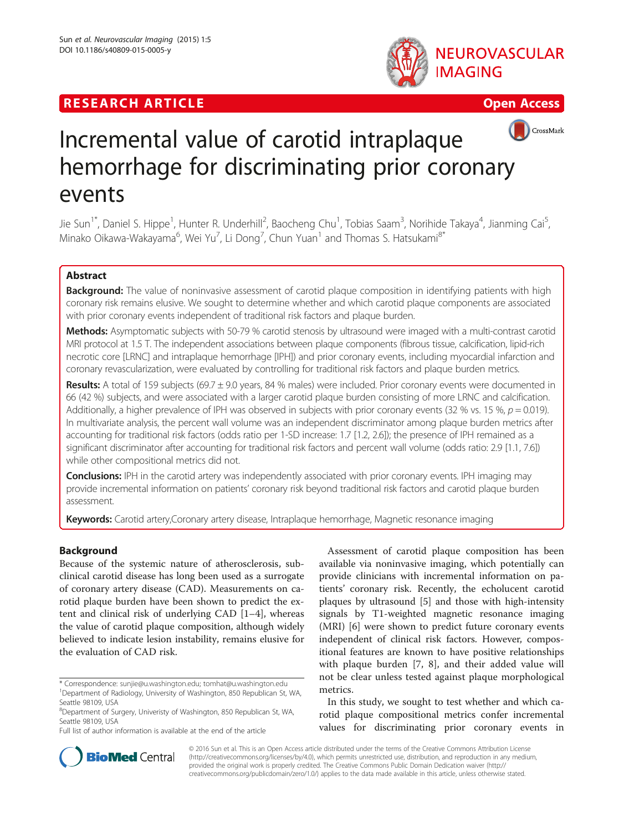# **RESEARCH ARTICLE EXECUTE: CONSIDERING A RESEARCH ARTICLE**







# Incremental value of carotid intraplaque hemorrhage for discriminating prior coronary events

Jie Sun<sup>1\*</sup>, Daniel S. Hippe<sup>1</sup>, Hunter R. Underhill<sup>2</sup>, Baocheng Chu<sup>1</sup>, Tobias Saam<sup>3</sup>, Norihide Takaya<sup>4</sup>, Jianming Cai<sup>5</sup> .<br>, Minako Oikawa-Wakayama $^6$ , Wei Yu $^7$ , Li Dong $^7$ , Chun Yuan $^1$  and Thomas S. Hatsukami $^{8^*}$ 

# Abstract

**Background:** The value of noninvasive assessment of carotid plaque composition in identifying patients with high coronary risk remains elusive. We sought to determine whether and which carotid plaque components are associated with prior coronary events independent of traditional risk factors and plaque burden.

Methods: Asymptomatic subjects with 50-79 % carotid stenosis by ultrasound were imaged with a multi-contrast carotid MRI protocol at 1.5 T. The independent associations between plaque components (fibrous tissue, calcification, lipid-rich necrotic core [LRNC] and intraplaque hemorrhage [IPH]) and prior coronary events, including myocardial infarction and coronary revascularization, were evaluated by controlling for traditional risk factors and plaque burden metrics.

Results: A total of 159 subjects (69.7 ± 9.0 years, 84 % males) were included. Prior coronary events were documented in 66 (42 %) subjects, and were associated with a larger carotid plaque burden consisting of more LRNC and calcification. Additionally, a higher prevalence of IPH was observed in subjects with prior coronary events (32 % vs. 15 %,  $p = 0.019$ ). In multivariate analysis, the percent wall volume was an independent discriminator among plaque burden metrics after accounting for traditional risk factors (odds ratio per 1-SD increase: 1.7 [1.2, 2.6]); the presence of IPH remained as a significant discriminator after accounting for traditional risk factors and percent wall volume (odds ratio: 2.9 [1.1, 7.6]) while other compositional metrics did not.

Conclusions: IPH in the carotid artery was independently associated with prior coronary events. IPH imaging may provide incremental information on patients' coronary risk beyond traditional risk factors and carotid plaque burden assessment.

Keywords: Carotid artery, Coronary artery disease, Intraplaque hemorrhage, Magnetic resonance imaging

# Background

Because of the systemic nature of atherosclerosis, subclinical carotid disease has long been used as a surrogate of coronary artery disease (CAD). Measurements on carotid plaque burden have been shown to predict the extent and clinical risk of underlying CAD [[1](#page-5-0)–[4\]](#page-5-0), whereas the value of carotid plaque composition, although widely believed to indicate lesion instability, remains elusive for the evaluation of CAD risk.

Full list of author information is available at the end of the article

Assessment of carotid plaque composition has been available via noninvasive imaging, which potentially can provide clinicians with incremental information on patients' coronary risk. Recently, the echolucent carotid plaques by ultrasound [[5\]](#page-5-0) and those with high-intensity signals by T1-weighted magnetic resonance imaging (MRI) [\[6](#page-5-0)] were shown to predict future coronary events independent of clinical risk factors. However, compositional features are known to have positive relationships with plaque burden [\[7](#page-5-0), [8](#page-5-0)], and their added value will not be clear unless tested against plaque morphological metrics.

In this study, we sought to test whether and which carotid plaque compositional metrics confer incremental values for discriminating prior coronary events in



© 2016 Sun et al. This is an Open Access article distributed under the terms of the Creative Commons Attribution License [\(http://creativecommons.org/licenses/by/4.0\)](http://creativecommons.org/licenses/by/4.0), which permits unrestricted use, distribution, and reproduction in any medium, provided the original work is properly credited. The Creative Commons Public Domain Dedication waiver [\(http://](http://creativecommons.org/publicdomain/zero/1.0/) [creativecommons.org/publicdomain/zero/1.0/\)](http://creativecommons.org/publicdomain/zero/1.0/) applies to the data made available in this article, unless otherwise stated.

<sup>\*</sup> Correspondence: [sunjie@u.washington.edu;](mailto:sunjie@u.washington.edu) [tomhat@u.washington.edu](mailto:tomhat@u.washington.edu) <sup>1</sup> <sup>1</sup>Department of Radiology, University of Washington, 850 Republican St, WA, Seattle 98109, USA

<sup>8</sup> Department of Surgery, Univeristy of Washington, 850 Republican St, WA, Seattle 98109, USA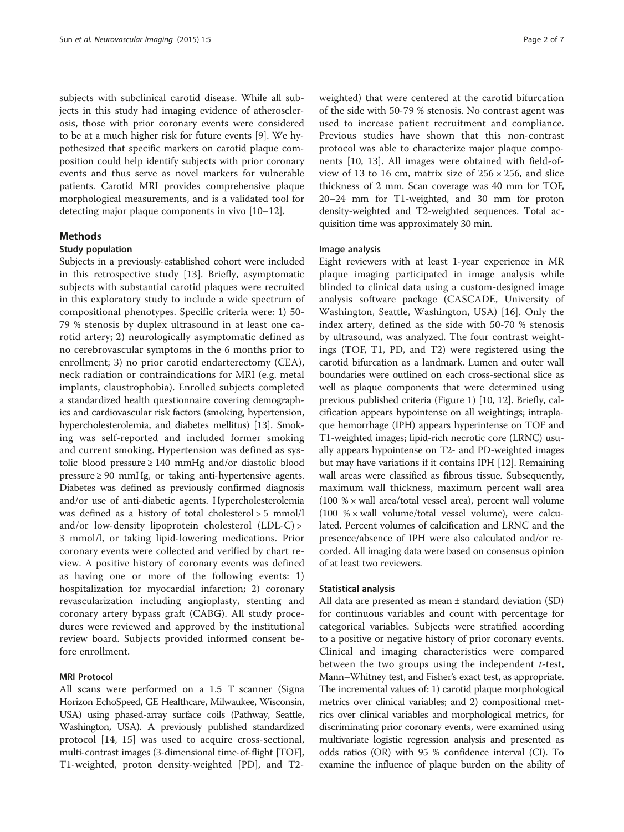subjects with subclinical carotid disease. While all subjects in this study had imaging evidence of atherosclerosis, those with prior coronary events were considered to be at a much higher risk for future events [[9](#page-6-0)]. We hypothesized that specific markers on carotid plaque composition could help identify subjects with prior coronary events and thus serve as novel markers for vulnerable patients. Carotid MRI provides comprehensive plaque morphological measurements, and is a validated tool for detecting major plaque components in vivo [\[10](#page-6-0)–[12\]](#page-6-0).

# Methods

#### Study population

Subjects in a previously-established cohort were included in this retrospective study [\[13](#page-6-0)]. Briefly, asymptomatic subjects with substantial carotid plaques were recruited in this exploratory study to include a wide spectrum of compositional phenotypes. Specific criteria were: 1) 50- 79 % stenosis by duplex ultrasound in at least one carotid artery; 2) neurologically asymptomatic defined as no cerebrovascular symptoms in the 6 months prior to enrollment; 3) no prior carotid endarterectomy (CEA), neck radiation or contraindications for MRI (e.g. metal implants, claustrophobia). Enrolled subjects completed a standardized health questionnaire covering demographics and cardiovascular risk factors (smoking, hypertension, hypercholesterolemia, and diabetes mellitus) [\[13](#page-6-0)]. Smoking was self-reported and included former smoking and current smoking. Hypertension was defined as systolic blood pressure ≥ 140 mmHg and/or diastolic blood pressure ≥ 90 mmHg, or taking anti-hypertensive agents. Diabetes was defined as previously confirmed diagnosis and/or use of anti-diabetic agents. Hypercholesterolemia was defined as a history of total cholesterol > 5 mmol/l and/or low-density lipoprotein cholesterol (LDL-C) > 3 mmol/l, or taking lipid-lowering medications. Prior coronary events were collected and verified by chart review. A positive history of coronary events was defined as having one or more of the following events: 1) hospitalization for myocardial infarction; 2) coronary revascularization including angioplasty, stenting and coronary artery bypass graft (CABG). All study procedures were reviewed and approved by the institutional review board. Subjects provided informed consent before enrollment.

# MRI Protocol

All scans were performed on a 1.5 T scanner (Signa Horizon EchoSpeed, GE Healthcare, Milwaukee, Wisconsin, USA) using phased-array surface coils (Pathway, Seattle, Washington, USA). A previously published standardized protocol [[14, 15\]](#page-6-0) was used to acquire cross-sectional, multi-contrast images (3-dimensional time-of-flight [TOF], T1-weighted, proton density-weighted [PD], and T2weighted) that were centered at the carotid bifurcation of the side with 50-79 % stenosis. No contrast agent was used to increase patient recruitment and compliance. Previous studies have shown that this non-contrast protocol was able to characterize major plaque components [[10, 13\]](#page-6-0). All images were obtained with field-ofview of 13 to 16 cm, matrix size of  $256 \times 256$ , and slice thickness of 2 mm. Scan coverage was 40 mm for TOF, 20–24 mm for T1-weighted, and 30 mm for proton density-weighted and T2-weighted sequences. Total acquisition time was approximately 30 min.

#### Image analysis

Eight reviewers with at least 1-year experience in MR plaque imaging participated in image analysis while blinded to clinical data using a custom-designed image analysis software package (CASCADE, University of Washington, Seattle, Washington, USA) [[16\]](#page-6-0). Only the index artery, defined as the side with 50-70 % stenosis by ultrasound, was analyzed. The four contrast weightings (TOF, T1, PD, and T2) were registered using the carotid bifurcation as a landmark. Lumen and outer wall boundaries were outlined on each cross-sectional slice as well as plaque components that were determined using previous published criteria (Figure [1](#page-2-0)) [\[10, 12\]](#page-6-0). Briefly, calcification appears hypointense on all weightings; intraplaque hemorrhage (IPH) appears hyperintense on TOF and T1-weighted images; lipid-rich necrotic core (LRNC) usually appears hypointense on T2- and PD-weighted images but may have variations if it contains IPH [\[12\]](#page-6-0). Remaining wall areas were classified as fibrous tissue. Subsequently, maximum wall thickness, maximum percent wall area (100  $% \times$  wall area/total vessel area), percent wall volume (100 % × wall volume/total vessel volume), were calculated. Percent volumes of calcification and LRNC and the presence/absence of IPH were also calculated and/or recorded. All imaging data were based on consensus opinion of at least two reviewers.

## Statistical analysis

All data are presented as mean ± standard deviation (SD) for continuous variables and count with percentage for categorical variables. Subjects were stratified according to a positive or negative history of prior coronary events. Clinical and imaging characteristics were compared between the two groups using the independent  $t$ -test, Mann–Whitney test, and Fisher's exact test, as appropriate. The incremental values of: 1) carotid plaque morphological metrics over clinical variables; and 2) compositional metrics over clinical variables and morphological metrics, for discriminating prior coronary events, were examined using multivariate logistic regression analysis and presented as odds ratios (OR) with 95 % confidence interval (CI). To examine the influence of plaque burden on the ability of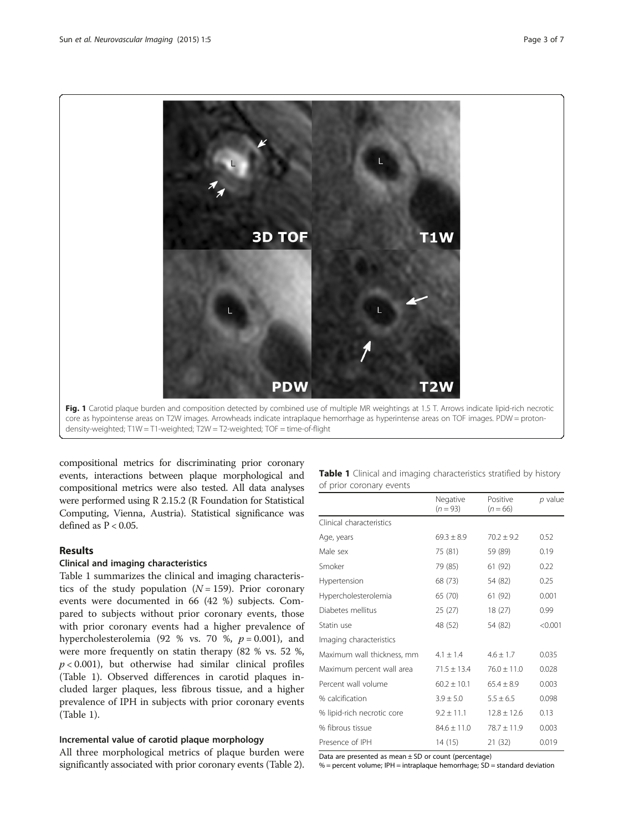<span id="page-2-0"></span>

density-weighted; T1W = T1-weighted; T2W = T2-weighted; TOF = time-of-flight

compositional metrics for discriminating prior coronary events, interactions between plaque morphological and compositional metrics were also tested. All data analyses were performed using R 2.15.2 (R Foundation for Statistical Computing, Vienna, Austria). Statistical significance was defined as  $P < 0.05$ .

# Results

# Clinical and imaging characteristics

Table 1 summarizes the clinical and imaging characteristics of the study population  $(N = 159)$ . Prior coronary events were documented in 66 (42 %) subjects. Compared to subjects without prior coronary events, those with prior coronary events had a higher prevalence of hypercholesterolemia (92 % vs. 70 %,  $p = 0.001$ ), and were more frequently on statin therapy (82 % vs. 52 %,  $p < 0.001$ ), but otherwise had similar clinical profiles (Table 1). Observed differences in carotid plaques included larger plaques, less fibrous tissue, and a higher prevalence of IPH in subjects with prior coronary events (Table 1).

# Incremental value of carotid plaque morphology

All three morphological metrics of plaque burden were significantly associated with prior coronary events (Table [2](#page-3-0)).

|                          |  | Table 1 Clinical and imaging characteristics stratified by history |  |  |
|--------------------------|--|--------------------------------------------------------------------|--|--|
| of prior coronary events |  |                                                                    |  |  |

|                            | Negative<br>$(n = 93)$ | Positive<br>$(n = 66)$ | p value |
|----------------------------|------------------------|------------------------|---------|
| Clinical characteristics   |                        |                        |         |
| Age, years                 | $69.3 \pm 8.9$         | $70.2 + 9.2$           | 0.52    |
| Male sex                   | 75 (81)                | 59 (89)                | 0.19    |
| Smoker                     | 79 (85)                | 61 (92)                | 0.22    |
| Hypertension               | 68 (73)                | 54 (82)                | 0.25    |
| Hypercholesterolemia       | 65 (70)                | 61 (92)                | 0.001   |
| Diabetes mellitus          | 25 (27)                | 18(27)                 | 0.99    |
| Statin use                 | 48 (52)                | 54 (82)                | < 0.001 |
| Imaging characteristics    |                        |                        |         |
| Maximum wall thickness, mm | $4.1 + 1.4$            | $4.6 + 1.7$            | 0.035   |
| Maximum percent wall area  | $71.5 \pm 13.4$        | $76.0 \pm 11.0$        | 0.028   |
| Percent wall volume        | $60.2 \pm 10.1$        | $65.4 \pm 8.9$         | 0.003   |
| % calcification            | $3.9 \pm 5.0$          | $5.5 \pm 6.5$          | 0.098   |
| % lipid-rich necrotic core | $9.2 \pm 11.1$         | $12.8 + 12.6$          | 0.13    |
| % fibrous tissue           | $84.6 \pm 11.0$        | $78.7 \pm 11.9$        | 0.003   |
| Presence of IPH            | 14 (15)                | 21 (32)                | 0.019   |

Data are presented as mean  $\pm$  SD or count (percentage)

 $%$  = percent volume; IPH = intraplaque hemorrhage; SD = standard deviation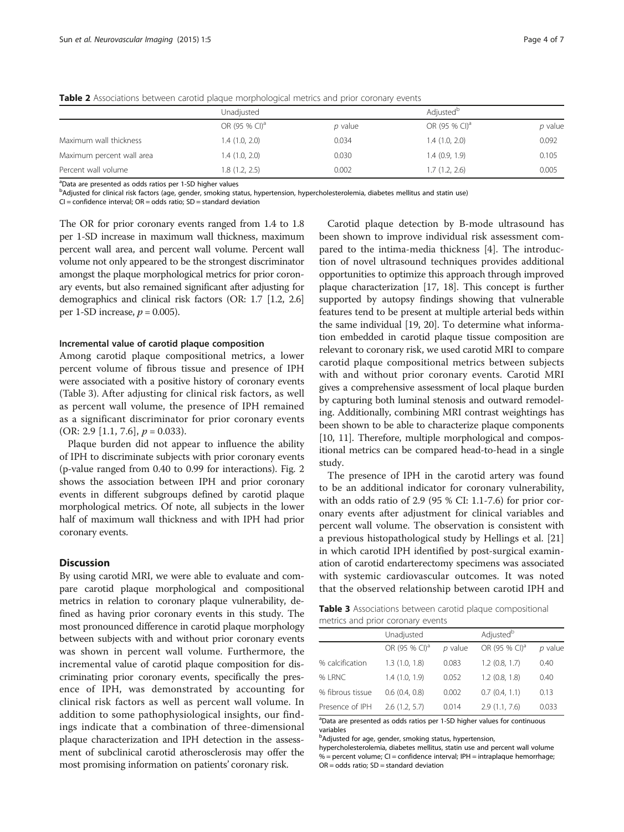|                           | Unadjusted                |         | Adjusted <sup>b</sup>     |         |
|---------------------------|---------------------------|---------|---------------------------|---------|
|                           | OR (95 % CI) <sup>a</sup> | p value | OR (95 % CI) <sup>a</sup> | p value |
| Maximum wall thickness    | 1.4(1.0, 2.0)             | 0.034   | 1.4(1.0, 2.0)             | 0.092   |
| Maximum percent wall area | 1.4(1.0, 2.0)             | 0.030   | 1.4(0.9, 1.9)             | 0.105   |
| Percent wall volume       | 1.8(1.2, 2.5)             | 0.002   | 1.7(1.2, 2.6)             | 0.005   |

<span id="page-3-0"></span>**Table 2** Associations between carotid plaque morphological metrics and prior coronary events

<sup>a</sup>Data are presented as odds ratios per 1-SD higher values

bAdjusted for clinical risk factors (age, gender, smoking status, hypertension, hypercholesterolemia, diabetes mellitus and statin use)

 $CI = confidence$  interval;  $OR = odds$  ratio;  $SD = standard$  deviation

The OR for prior coronary events ranged from 1.4 to 1.8 per 1-SD increase in maximum wall thickness, maximum percent wall area, and percent wall volume. Percent wall volume not only appeared to be the strongest discriminator amongst the plaque morphological metrics for prior coronary events, but also remained significant after adjusting for demographics and clinical risk factors (OR: 1.7 [1.2, 2.6] per 1-SD increase,  $p = 0.005$ ).

#### Incremental value of carotid plaque composition

Among carotid plaque compositional metrics, a lower percent volume of fibrous tissue and presence of IPH were associated with a positive history of coronary events (Table 3). After adjusting for clinical risk factors, as well as percent wall volume, the presence of IPH remained as a significant discriminator for prior coronary events (OR: 2.9 [1.1, 7.6],  $p = 0.033$ ).

Plaque burden did not appear to influence the ability of IPH to discriminate subjects with prior coronary events (p-value ranged from 0.40 to 0.99 for interactions). Fig. [2](#page-4-0) shows the association between IPH and prior coronary events in different subgroups defined by carotid plaque morphological metrics. Of note, all subjects in the lower half of maximum wall thickness and with IPH had prior coronary events.

# **Discussion**

By using carotid MRI, we were able to evaluate and compare carotid plaque morphological and compositional metrics in relation to coronary plaque vulnerability, defined as having prior coronary events in this study. The most pronounced difference in carotid plaque morphology between subjects with and without prior coronary events was shown in percent wall volume. Furthermore, the incremental value of carotid plaque composition for discriminating prior coronary events, specifically the presence of IPH, was demonstrated by accounting for clinical risk factors as well as percent wall volume. In addition to some pathophysiological insights, our findings indicate that a combination of three-dimensional plaque characterization and IPH detection in the assessment of subclinical carotid atherosclerosis may offer the most promising information on patients' coronary risk.

Carotid plaque detection by B-mode ultrasound has been shown to improve individual risk assessment compared to the intima-media thickness [\[4](#page-5-0)]. The introduction of novel ultrasound techniques provides additional opportunities to optimize this approach through improved plaque characterization [\[17, 18\]](#page-6-0). This concept is further supported by autopsy findings showing that vulnerable features tend to be present at multiple arterial beds within the same individual [[19](#page-6-0), [20](#page-6-0)]. To determine what information embedded in carotid plaque tissue composition are relevant to coronary risk, we used carotid MRI to compare carotid plaque compositional metrics between subjects with and without prior coronary events. Carotid MRI gives a comprehensive assessment of local plaque burden by capturing both luminal stenosis and outward remodeling. Additionally, combining MRI contrast weightings has been shown to be able to characterize plaque components [[10](#page-6-0), [11\]](#page-6-0). Therefore, multiple morphological and compositional metrics can be compared head-to-head in a single study.

The presence of IPH in the carotid artery was found to be an additional indicator for coronary vulnerability, with an odds ratio of 2.9 (95 % CI: 1.1-7.6) for prior coronary events after adjustment for clinical variables and percent wall volume. The observation is consistent with a previous histopathological study by Hellings et al. [[21](#page-6-0)] in which carotid IPH identified by post-surgical examination of carotid endarterectomy specimens was associated with systemic cardiovascular outcomes. It was noted that the observed relationship between carotid IPH and

Table 3 Associations between carotid plaque compositional metrics and prior coronary events

|                  | Unadjusted                |           | Adjusted <sup>b</sup>     |           |
|------------------|---------------------------|-----------|---------------------------|-----------|
|                  | OR (95 % CI) <sup>a</sup> | $p$ value | OR (95 % CI) <sup>a</sup> | $p$ value |
| % calcification  | 1.3(1.0, 1.8)             | 0.083     | $1.2$ (0.8, 1.7)          | 0.40      |
| % LRNC           | 1.4(1.0, 1.9)             | 0.052     | $1.2$ (0.8, 1.8)          | 0.40      |
| % fibrous tissue | $0.6$ $(0.4, 0.8)$        | 0.002     | 0.7(0.4, 1.1)             | 0.13      |
| Presence of IPH  | 2.6(1.2, 5.7)             | 0.014     | 2.9(1.1, 7.6)             | 0.033     |
|                  |                           |           |                           |           |

<sup>a</sup>Data are presented as odds ratios per 1-SD higher values for continuous variables

**bAdjusted for age, gender, smoking status, hypertension**,

hypercholesterolemia, diabetes mellitus, statin use and percent wall volume % = percent volume; CI = confidence interval; IPH = intraplaque hemorrhage;  $OR = odds$  ratio;  $SD = standard deviation$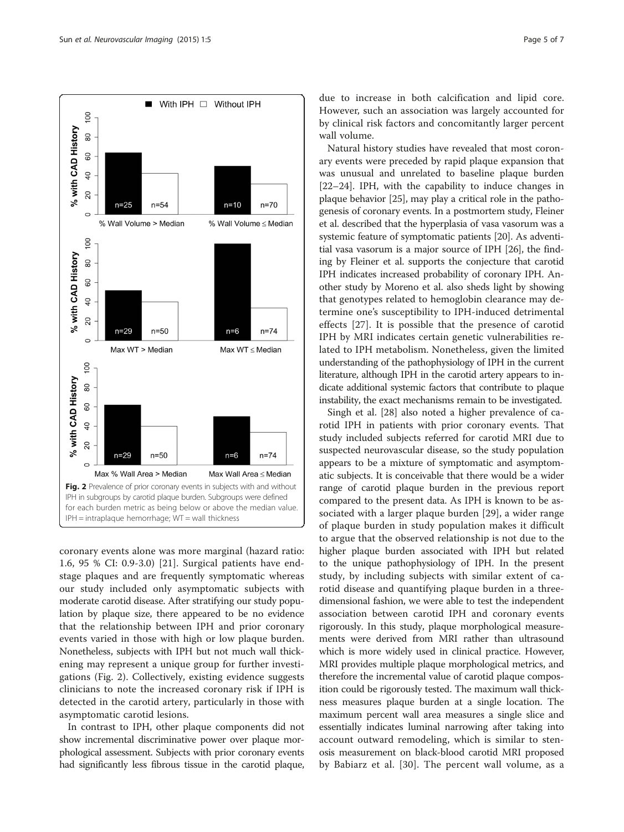<span id="page-4-0"></span>

coronary events alone was more marginal (hazard ratio: 1.6, 95 % CI: 0.9-3.0) [[21](#page-6-0)]. Surgical patients have endstage plaques and are frequently symptomatic whereas our study included only asymptomatic subjects with moderate carotid disease. After stratifying our study population by plaque size, there appeared to be no evidence that the relationship between IPH and prior coronary events varied in those with high or low plaque burden. Nonetheless, subjects with IPH but not much wall thickening may represent a unique group for further investigations (Fig. 2). Collectively, existing evidence suggests clinicians to note the increased coronary risk if IPH is detected in the carotid artery, particularly in those with asymptomatic carotid lesions.

In contrast to IPH, other plaque components did not show incremental discriminative power over plaque morphological assessment. Subjects with prior coronary events had significantly less fibrous tissue in the carotid plaque,

due to increase in both calcification and lipid core. However, such an association was largely accounted for by clinical risk factors and concomitantly larger percent wall volume.

Natural history studies have revealed that most coronary events were preceded by rapid plaque expansion that was unusual and unrelated to baseline plaque burden [[22](#page-6-0)–[24](#page-6-0)]. IPH, with the capability to induce changes in plaque behavior [\[25](#page-6-0)], may play a critical role in the pathogenesis of coronary events. In a postmortem study, Fleiner et al. described that the hyperplasia of vasa vasorum was a systemic feature of symptomatic patients [[20](#page-6-0)]. As adventitial vasa vasorum is a major source of IPH [\[26\]](#page-6-0), the finding by Fleiner et al. supports the conjecture that carotid IPH indicates increased probability of coronary IPH. Another study by Moreno et al. also sheds light by showing that genotypes related to hemoglobin clearance may determine one's susceptibility to IPH-induced detrimental effects [[27](#page-6-0)]. It is possible that the presence of carotid IPH by MRI indicates certain genetic vulnerabilities related to IPH metabolism. Nonetheless, given the limited understanding of the pathophysiology of IPH in the current literature, although IPH in the carotid artery appears to indicate additional systemic factors that contribute to plaque instability, the exact mechanisms remain to be investigated.

Singh et al. [[28](#page-6-0)] also noted a higher prevalence of carotid IPH in patients with prior coronary events. That study included subjects referred for carotid MRI due to suspected neurovascular disease, so the study population appears to be a mixture of symptomatic and asymptomatic subjects. It is conceivable that there would be a wider range of carotid plaque burden in the previous report compared to the present data. As IPH is known to be associated with a larger plaque burden [[29\]](#page-6-0), a wider range of plaque burden in study population makes it difficult to argue that the observed relationship is not due to the higher plaque burden associated with IPH but related to the unique pathophysiology of IPH. In the present study, by including subjects with similar extent of carotid disease and quantifying plaque burden in a threedimensional fashion, we were able to test the independent association between carotid IPH and coronary events rigorously. In this study, plaque morphological measurements were derived from MRI rather than ultrasound which is more widely used in clinical practice. However, MRI provides multiple plaque morphological metrics, and therefore the incremental value of carotid plaque composition could be rigorously tested. The maximum wall thickness measures plaque burden at a single location. The maximum percent wall area measures a single slice and essentially indicates luminal narrowing after taking into account outward remodeling, which is similar to stenosis measurement on black-blood carotid MRI proposed by Babiarz et al. [\[30\]](#page-6-0). The percent wall volume, as a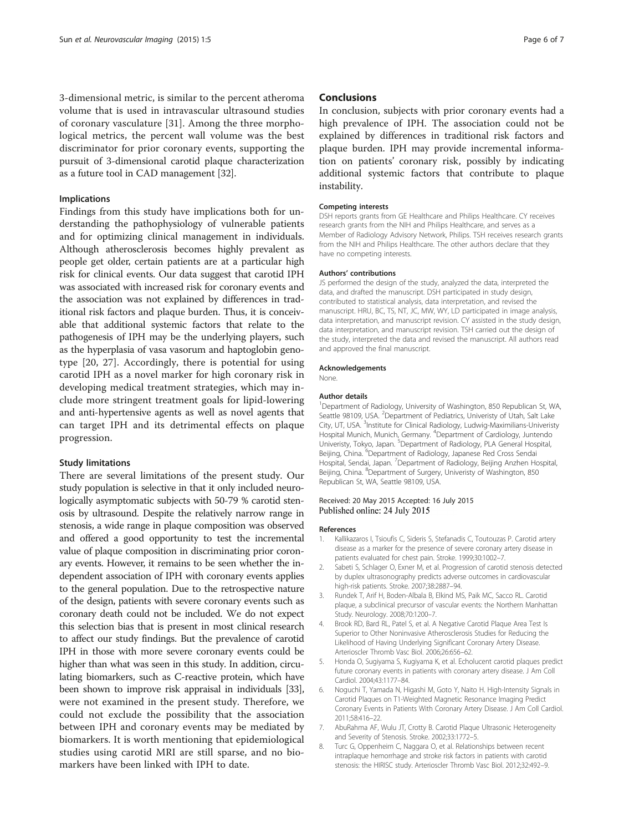<span id="page-5-0"></span>3-dimensional metric, is similar to the percent atheroma volume that is used in intravascular ultrasound studies of coronary vasculature [[31](#page-6-0)]. Among the three morphological metrics, the percent wall volume was the best discriminator for prior coronary events, supporting the pursuit of 3-dimensional carotid plaque characterization as a future tool in CAD management [[32](#page-6-0)].

## Implications

Findings from this study have implications both for understanding the pathophysiology of vulnerable patients and for optimizing clinical management in individuals. Although atherosclerosis becomes highly prevalent as people get older, certain patients are at a particular high risk for clinical events. Our data suggest that carotid IPH was associated with increased risk for coronary events and the association was not explained by differences in traditional risk factors and plaque burden. Thus, it is conceivable that additional systemic factors that relate to the pathogenesis of IPH may be the underlying players, such as the hyperplasia of vasa vasorum and haptoglobin genotype [[20, 27](#page-6-0)]. Accordingly, there is potential for using carotid IPH as a novel marker for high coronary risk in developing medical treatment strategies, which may include more stringent treatment goals for lipid-lowering and anti-hypertensive agents as well as novel agents that can target IPH and its detrimental effects on plaque progression.

# Study limitations

There are several limitations of the present study. Our study population is selective in that it only included neurologically asymptomatic subjects with 50-79 % carotid stenosis by ultrasound. Despite the relatively narrow range in stenosis, a wide range in plaque composition was observed and offered a good opportunity to test the incremental value of plaque composition in discriminating prior coronary events. However, it remains to be seen whether the independent association of IPH with coronary events applies to the general population. Due to the retrospective nature of the design, patients with severe coronary events such as coronary death could not be included. We do not expect this selection bias that is present in most clinical research to affect our study findings. But the prevalence of carotid IPH in those with more severe coronary events could be higher than what was seen in this study. In addition, circulating biomarkers, such as C-reactive protein, which have been shown to improve risk appraisal in individuals [[33](#page-6-0)], were not examined in the present study. Therefore, we could not exclude the possibility that the association between IPH and coronary events may be mediated by biomarkers. It is worth mentioning that epidemiological studies using carotid MRI are still sparse, and no biomarkers have been linked with IPH to date.

## Conclusions

In conclusion, subjects with prior coronary events had a high prevalence of IPH. The association could not be explained by differences in traditional risk factors and plaque burden. IPH may provide incremental information on patients' coronary risk, possibly by indicating additional systemic factors that contribute to plaque instability.

#### Competing interests

DSH reports grants from GE Healthcare and Philips Healthcare. CY receives research grants from the NIH and Philips Healthcare, and serves as a Member of Radiology Advisory Network, Philips. TSH receives research grants from the NIH and Philips Healthcare. The other authors declare that they have no competing interests.

#### Authors' contributions

JS performed the design of the study, analyzed the data, interpreted the data, and drafted the manuscript. DSH participated in study design, contributed to statistical analysis, data interpretation, and revised the manuscript. HRU, BC, TS, NT, JC, MW, WY, LD participated in image analysis, data interpretation, and manuscript revision. CY assisted in the study design, data interpretation, and manuscript revision. TSH carried out the design of the study, interpreted the data and revised the manuscript. All authors read and approved the final manuscript.

#### Acknowledgements

None.

#### Author details

<sup>1</sup>Department of Radiology, University of Washington, 850 Republican St, WA Seattle 98109, USA. <sup>2</sup>Department of Pediatrics, Univeristy of Utah, Salt Lake City, UT, USA. <sup>3</sup>Institute for Clinical Radiology, Ludwig-Maximilians-Univeristy Hospital Munich, Munich, Germany. <sup>4</sup>Department of Cardiology, Juntendo Univeristy, Tokyo, Japan. <sup>5</sup>Department of Radiology, PLA General Hospital Beijing, China. <sup>6</sup>Department of Radiology, Japanese Red Cross Sendai Hospital, Sendai, Japan. <sup>7</sup>Department of Radiology, Beijing Anzhen Hospital Beijing, China. <sup>8</sup>Department of Surgery, Univeristy of Washington, 850 Republican St, WA, Seattle 98109, USA.

#### Received: 20 May 2015 Accepted: 16 July 2015 Published online: 24 July 2015

#### References

- 1. Kallikazaros I, Tsioufis C, Sideris S, Stefanadis C, Toutouzas P. Carotid artery disease as a marker for the presence of severe coronary artery disease in patients evaluated for chest pain. Stroke. 1999;30:1002–7.
- 2. Sabeti S, Schlager O, Exner M, et al. Progression of carotid stenosis detected by duplex ultrasonography predicts adverse outcomes in cardiovascular high-risk patients. Stroke. 2007;38:2887–94.
- 3. Rundek T, Arif H, Boden-Albala B, Elkind MS, Paik MC, Sacco RL. Carotid plaque, a subclinical precursor of vascular events: the Northern Manhattan Study. Neurology. 2008;70:1200–7.
- 4. Brook RD, Bard RL, Patel S, et al. A Negative Carotid Plaque Area Test Is Superior to Other Noninvasive Atherosclerosis Studies for Reducing the Likelihood of Having Underlying Significant Coronary Artery Disease. Arterioscler Thromb Vasc Biol. 2006;26:656–62.
- 5. Honda O, Sugiyama S, Kugiyama K, et al. Echolucent carotid plaques predict future coronary events in patients with coronary artery disease. J Am Coll Cardiol. 2004;43:1177–84.
- 6. Noguchi T, Yamada N, Higashi M, Goto Y, Naito H. High-Intensity Signals in Carotid Plaques on T1-Weighted Magnetic Resonance Imaging Predict Coronary Events in Patients With Coronary Artery Disease. J Am Coll Cardiol. 2011;58:416–22.
- 7. AbuRahma AF, Wulu JT, Crotty B. Carotid Plaque Ultrasonic Heterogeneity and Severity of Stenosis. Stroke. 2002;33:1772–5.
- 8. Turc G, Oppenheim C, Naggara O, et al. Relationships between recent intraplaque hemorrhage and stroke risk factors in patients with carotid stenosis: the HIRISC study. Arterioscler Thromb Vasc Biol. 2012;32:492–9.